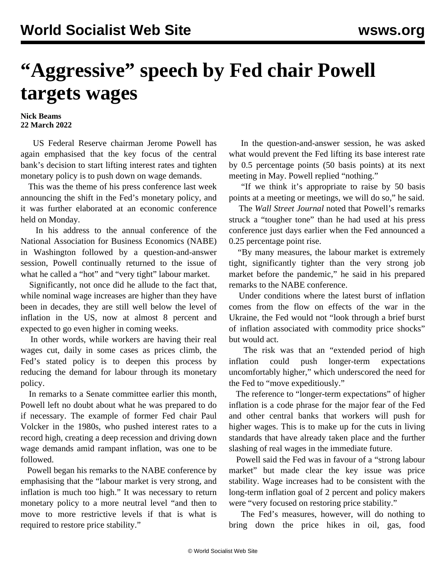## **"Aggressive" speech by Fed chair Powell targets wages**

## **Nick Beams 22 March 2022**

 US Federal Reserve chairman Jerome Powell has again emphasised that the key focus of the central bank's decision to start lifting interest rates and tighten monetary policy is to push down on wage demands.

 This was the theme of his press conference last week announcing the shift in the Fed's monetary policy, and it was further elaborated at an economic conference held on Monday.

 In his address to the annual conference of the National Association for Business Economics (NABE) in Washington followed by a question-and-answer session, Powell continually returned to the issue of what he called a "hot" and "very tight" labour market.

 Significantly, not once did he allude to the fact that, while nominal wage increases are higher than they have been in decades, they are still well below the level of inflation in the US, now at almost 8 percent and expected to go even higher in coming weeks.

 In other words, while workers are having their real wages cut, daily in some cases as prices climb, the Fed's stated policy is to deepen this process by reducing the demand for labour through its monetary policy.

 In remarks to a Senate committee earlier this month, Powell left no doubt about what he was prepared to do if necessary. The example of former Fed chair Paul Volcker in the 1980s, who pushed interest rates to a record high, creating a deep recession and driving down wage demands amid rampant inflation, was one to be followed.

 Powell began his remarks to the NABE conference by emphasising that the "labour market is very strong, and inflation is much too high." It was necessary to return monetary policy to a more neutral level "and then to move to more restrictive levels if that is what is required to restore price stability."

 In the question-and-answer session, he was asked what would prevent the Fed lifting its base interest rate by 0.5 percentage points (50 basis points) at its next meeting in May. Powell replied "nothing."

 "If we think it's appropriate to raise by 50 basis points at a meeting or meetings, we will do so," he said.

 The *Wall Street Journal* noted that Powell's remarks struck a "tougher tone" than he had used at his press conference just days earlier when the Fed announced a 0.25 percentage point rise.

 "By many measures, the labour market is extremely tight, significantly tighter than the very strong job market before the pandemic," he said in his prepared remarks to the NABE conference.

 Under conditions where the latest burst of inflation comes from the flow on effects of the war in the Ukraine, the Fed would not "look through a brief burst of inflation associated with commodity price shocks" but would act.

 The risk was that an "extended period of high inflation could push longer-term expectations uncomfortably higher," which underscored the need for the Fed to "move expeditiously."

 The reference to "longer-term expectations" of higher inflation is a code phrase for the major fear of the Fed and other central banks that workers will push for higher wages. This is to make up for the cuts in living standards that have already taken place and the further slashing of real wages in the immediate future.

 Powell said the Fed was in favour of a "strong labour market" but made clear the key issue was price stability. Wage increases had to be consistent with the long-term inflation goal of 2 percent and policy makers were "very focused on restoring price stability."

 The Fed's measures, however, will do nothing to bring down the price hikes in oil, gas, food